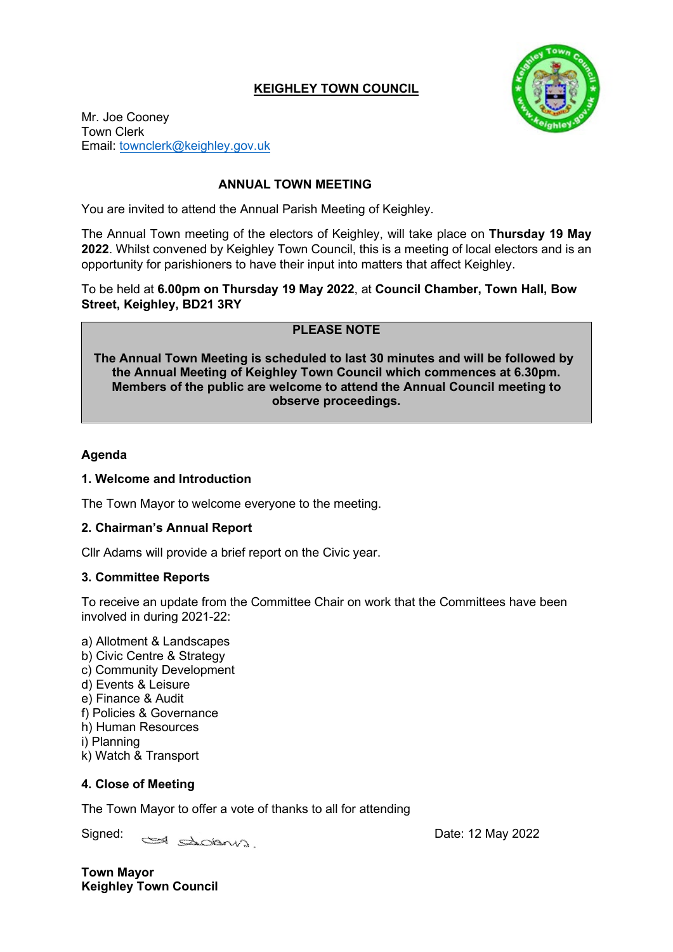# **KEIGHLEY TOWN COUNCIL**



Mr. Joe Cooney Town Clerk Email: [townclerk@keighley.gov.uk](mailto:townclerk@keighley.gov.uk)

# **ANNUAL TOWN MEETING**

You are invited to attend the Annual Parish Meeting of Keighley.

The Annual Town meeting of the electors of Keighley, will take place on **Thursday 19 May 2022**. Whilst convened by Keighley Town Council, this is a meeting of local electors and is an opportunity for parishioners to have their input into matters that affect Keighley.

To be held at **6.00pm on Thursday 19 May 2022**, at **Council Chamber, Town Hall, Bow Street, Keighley, BD21 3RY**

# **PLEASE NOTE**

**The Annual Town Meeting is scheduled to last 30 minutes and will be followed by the Annual Meeting of Keighley Town Council which commences at 6.30pm. Members of the public are welcome to attend the Annual Council meeting to observe proceedings.**

## **Agenda**

### **1. Welcome and Introduction**

The Town Mayor to welcome everyone to the meeting.

### **2. Chairman's Annual Report**

Cllr Adams will provide a brief report on the Civic year.

### **3. Committee Reports**

To receive an update from the Committee Chair on work that the Committees have been involved in during 2021-22:

a) Allotment & Landscapes b) Civic Centre & Strategy c) Community Development d) Events & Leisure e) Finance & Audit f) Policies & Governance h) Human Resources i) Planning k) Watch & Transport

# **4. Close of Meeting**

The Town Mayor to offer a vote of thanks to all for attending

Signed: <u>Salamunda</u> Date: 12 May 2022

**Town Mayor Keighley Town Council**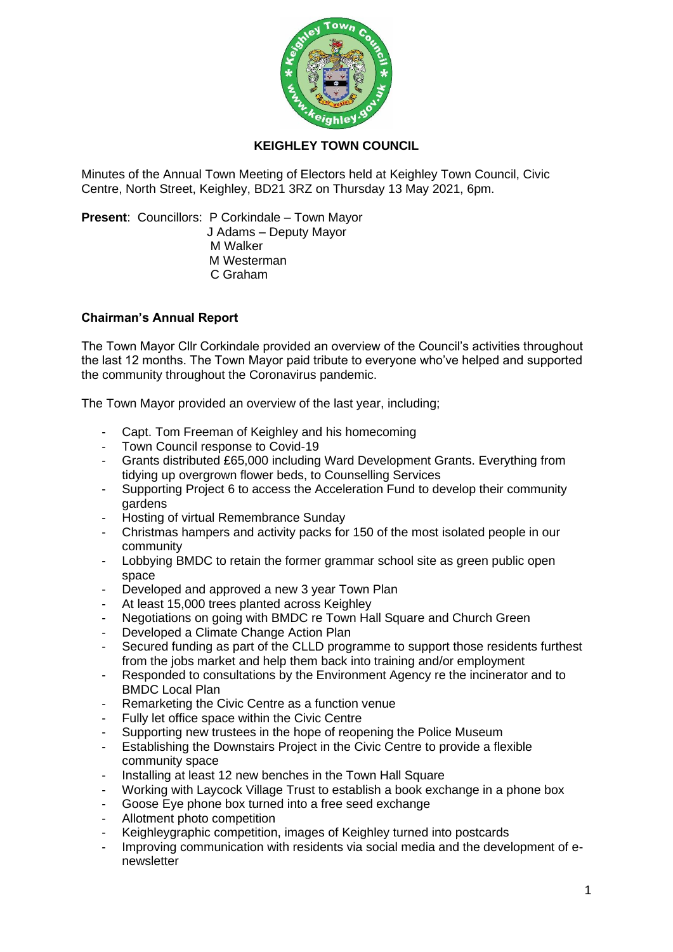

# **KEIGHLEY TOWN COUNCIL**

Minutes of the Annual Town Meeting of Electors held at Keighley Town Council, Civic Centre, North Street, Keighley, BD21 3RZ on Thursday 13 May 2021, 6pm.

**Present**: Councillors: P Corkindale – Town Mayor J Adams – Deputy Mayor M Walker M Westerman C Graham

### **Chairman's Annual Report**

The Town Mayor Cllr Corkindale provided an overview of the Council's activities throughout the last 12 months. The Town Mayor paid tribute to everyone who've helped and supported the community throughout the Coronavirus pandemic.

The Town Mayor provided an overview of the last year, including;

- Capt. Tom Freeman of Keighley and his homecoming
- Town Council response to Covid-19
- Grants distributed £65,000 including Ward Development Grants. Everything from tidying up overgrown flower beds, to Counselling Services
- Supporting Project 6 to access the Acceleration Fund to develop their community gardens
- Hosting of virtual Remembrance Sunday
- Christmas hampers and activity packs for 150 of the most isolated people in our community
- Lobbying BMDC to retain the former grammar school site as green public open space
- Developed and approved a new 3 year Town Plan
- At least 15,000 trees planted across Keighley
- Negotiations on going with BMDC re Town Hall Square and Church Green
- Developed a Climate Change Action Plan
- Secured funding as part of the CLLD programme to support those residents furthest from the jobs market and help them back into training and/or employment
- Responded to consultations by the Environment Agency re the incinerator and to BMDC Local Plan
- Remarketing the Civic Centre as a function venue
- Fully let office space within the Civic Centre
- Supporting new trustees in the hope of reopening the Police Museum
- Establishing the Downstairs Project in the Civic Centre to provide a flexible community space
- Installing at least 12 new benches in the Town Hall Square
- Working with Laycock Village Trust to establish a book exchange in a phone box
- Goose Eye phone box turned into a free seed exchange
- Allotment photo competition
- Keighleygraphic competition, images of Keighley turned into postcards
- Improving communication with residents via social media and the development of enewsletter